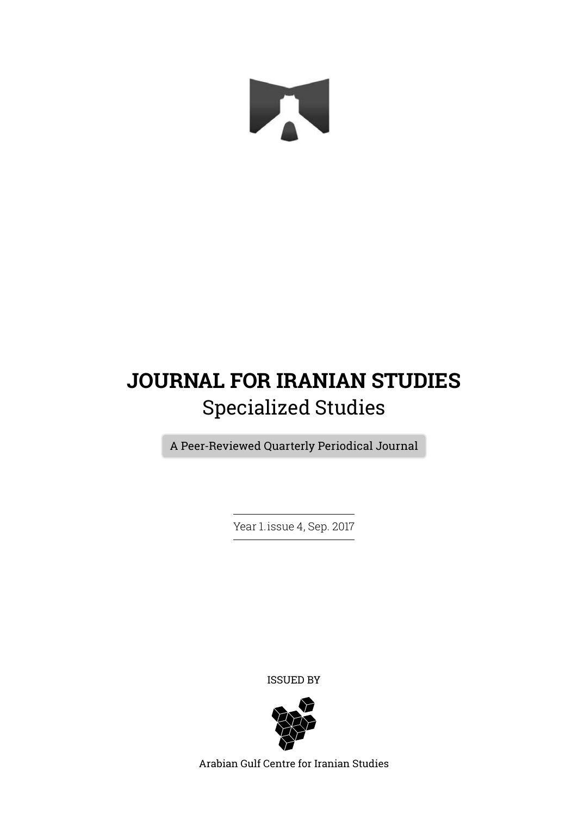

## **JOURNAL FOR IRANIAN STUDIES** Specialized Studies

A Peer-Reviewed Quarterly Periodical Journal

Year 1. issue 4, Sep. 2017

ISSUED BY



Arabian Gulf Centre for Iranian Studies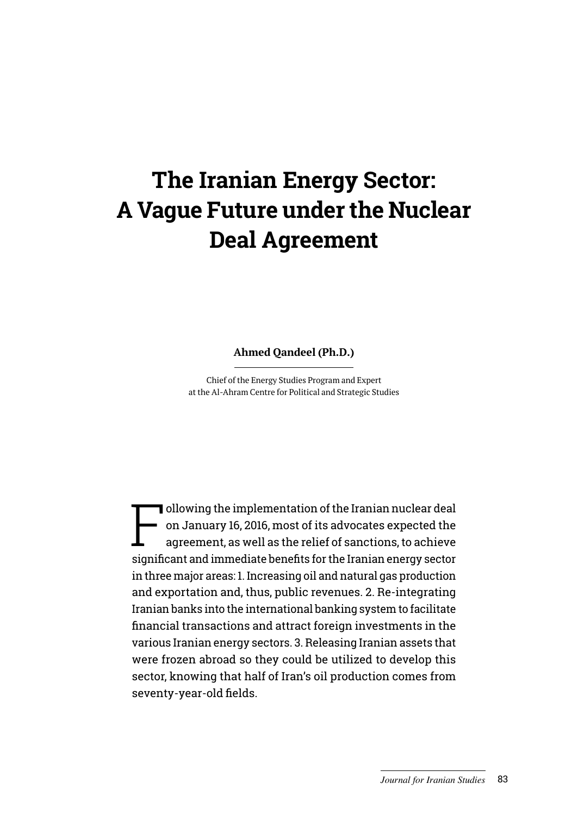# **The Iranian Energy Sector: A Vague Future under the Nuclear Deal Agreement**

**Ahmed Qandeel (Ph.D.)**

Chief of the Energy Studies Program and Expert at the Al-Ahram Centre for Political and Strategic Studies

Following the implementation of the Iranian nuclear deal<br>on January 16, 2016, most of its advocates expected the<br>agreement, as well as the relief of sanctions, to achieve on January 16, 2016, most of its advocates expected the agreement, as well as the relief of sanctions, to achieve significant and immediate benefits for the Iranian energy sector in three major areas: 1. Increasing oil and natural gas production and exportation and, thus, public revenues. 2. Re-integrating Iranian banks into the international banking system to facilitate financial transactions and attract foreign investments in the various Iranian energy sectors. 3. Releasing Iranian assets that were frozen abroad so they could be utilized to develop this sector, knowing that half of Iran's oil production comes from seventy-year-old fields.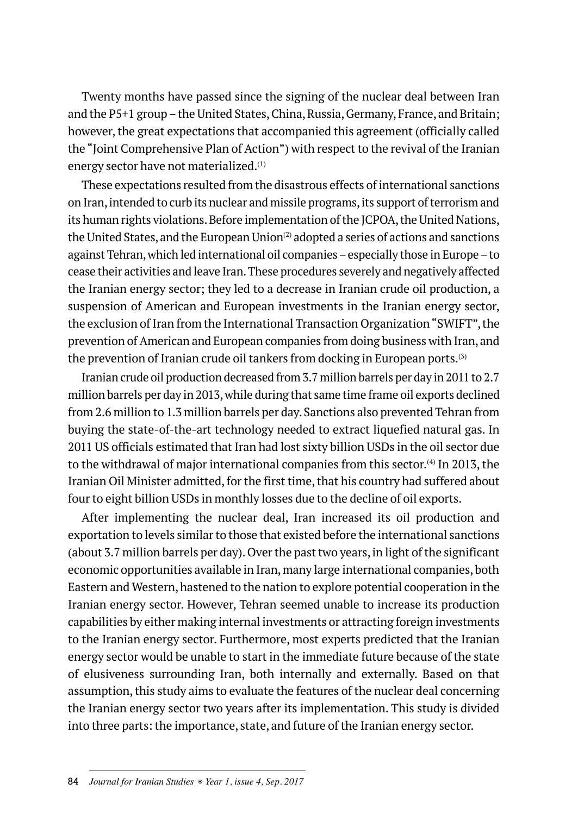Twenty months have passed since the signing of the nuclear deal between Iran and the P5+1 group – the United States, China, Russia, Germany, France, and Britain; however, the great expectations that accompanied this agreement (officially called the "Joint Comprehensive Plan of Action") with respect to the revival of the Iranian energy sector have not materialized.(1)

These expectations resulted from the disastrous effects of international sanctions on Iran, intended to curb its nuclear and missile programs, its support of terrorism and its human rights violations. Before implementation of the JCPOA, the United Nations, the United States, and the European Union $(2)$  adopted a series of actions and sanctions against Tehran, which led international oil companies – especially those in Europe – to cease their activities and leave Iran. These procedures severely and negatively affected the Iranian energy sector; they led to a decrease in Iranian crude oil production, a suspension of American and European investments in the Iranian energy sector, the exclusion of Iran from the International Transaction Organization "SWIFT", the prevention of American and European companies from doing business with Iran, and the prevention of Iranian crude oil tankers from docking in European ports.<sup>(3)</sup>

Iranian crude oil production decreased from 3.7 million barrels per day in 2011 to 2.7 million barrels per day in 2013, while during that same time frame oil exports declined from 2.6 million to 1.3 million barrels per day. Sanctions also prevented Tehran from buying the state-of-the-art technology needed to extract liquefied natural gas. In 2011 US officials estimated that Iran had lost sixty billion USDs in the oil sector due to the withdrawal of major international companies from this sector.(4) In 2013, the Iranian Oil Minister admitted, for the first time, that his country had suffered about four to eight billion USDs in monthly losses due to the decline of oil exports.

After implementing the nuclear deal, Iran increased its oil production and exportation to levels similar to those that existed before the international sanctions (about 3.7 million barrels per day). Over the past two years, in light of the significant economic opportunities available in Iran, many large international companies, both Eastern and Western, hastened to the nation to explore potential cooperation in the Iranian energy sector. However, Tehran seemed unable to increase its production capabilities by either making internal investments or attracting foreign investments to the Iranian energy sector. Furthermore, most experts predicted that the Iranian energy sector would be unable to start in the immediate future because of the state of elusiveness surrounding Iran, both internally and externally. Based on that assumption, this study aims to evaluate the features of the nuclear deal concerning the Iranian energy sector two years after its implementation. This study is divided into three parts: the importance, state, and future of the Iranian energy sector.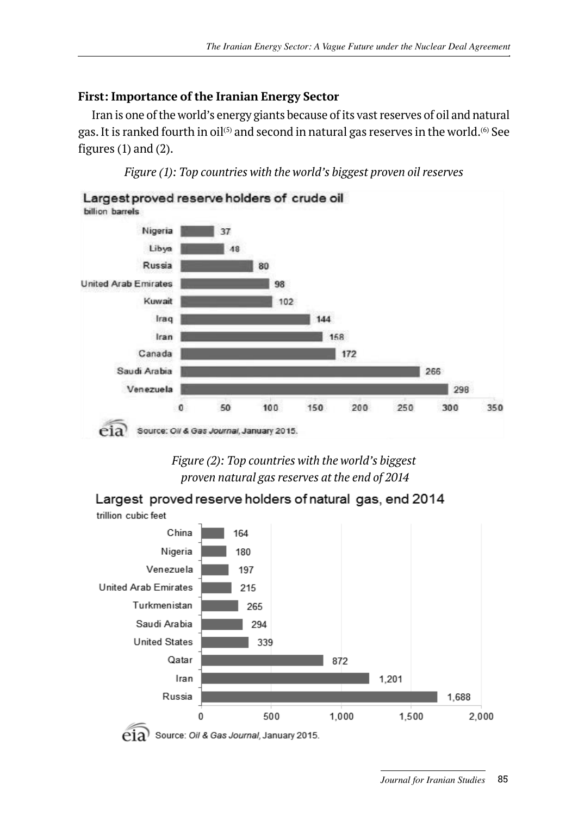### **First: Importance of the Iranian Energy Sector**

Iran is one of the world's energy giants because of its vast reserves of oil and natural gas. It is ranked fourth in oil<sup>(5)</sup> and second in natural gas reserves in the world.<sup>(6)</sup> See figures (1) and (2).

*Figure (1): Top countries with the world's biggest proven oil reserves*





Largest proved reserve holders of natural gas, end 2014

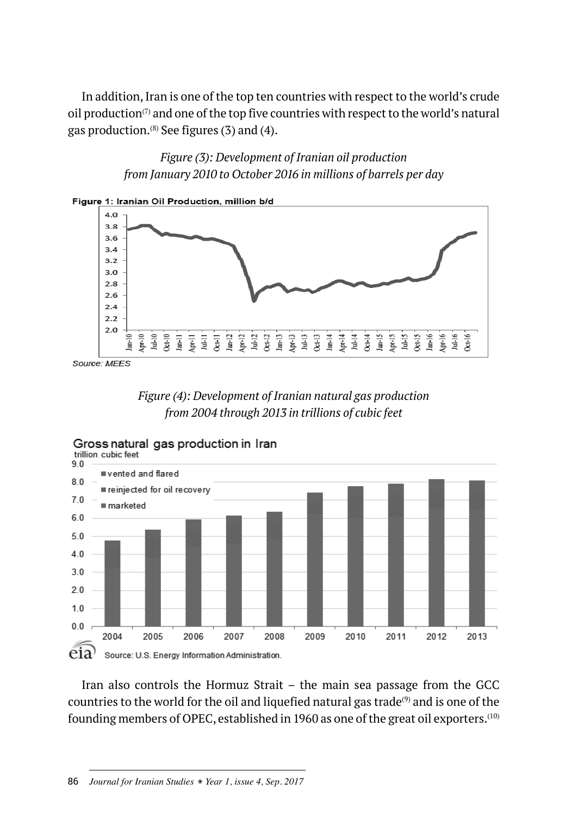In addition, Iran is one of the top ten countries with respect to the world's crude oil production $(7)$  and one of the top five countries with respect to the world's natural gas production. $(8)$  See figures (3) and (4).

> *Figure (3): Development of Iranian oil production from January 2010 to October 2016 in millions of barrels per day*



Source: MEES





Gross natural gas production in Iran

Iran also controls the Hormuz Strait – the main sea passage from the GCC countries to the world for the oil and liquefied natural gas trade<sup>(9)</sup> and is one of the founding members of OPEC, established in 1960 as one of the great oil exporters.(10)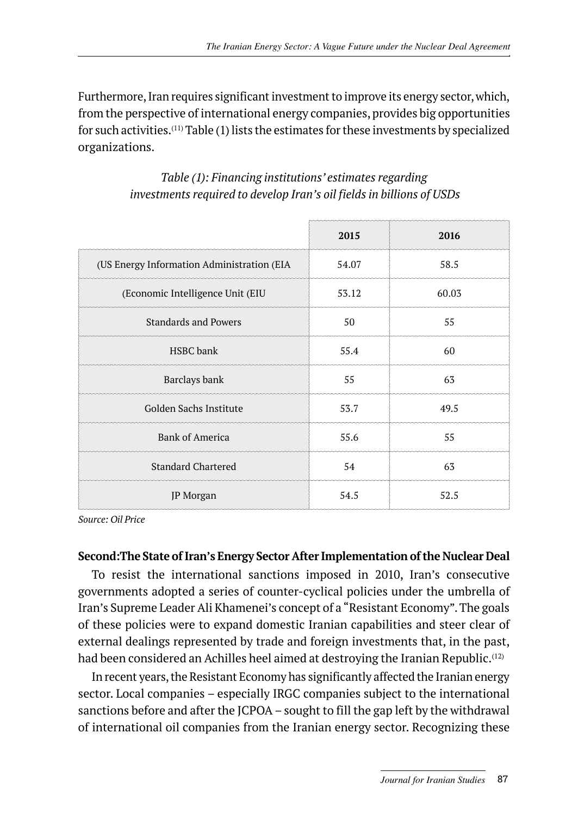Furthermore, Iran requires significant investment to improve its energy sector, which, from the perspective of international energy companies, provides big opportunities for such activities.(11) Table (1) lists the estimates for these investments by specialized organizations.

| Table (1): Financing institutions' estimates regarding                |
|-----------------------------------------------------------------------|
| investments required to develop Iran's oil fields in billions of USDs |

|                                            | 2015  | 2016  |
|--------------------------------------------|-------|-------|
| (US Energy Information Administration (EIA | 54.07 | 58.5  |
| (Economic Intelligence Unit (EIU           | 53.12 | 60.03 |
| <b>Standards and Powers</b>                | 50    | 55    |
| HSBC bank                                  | 55.4  | 60    |
| Barclays bank                              | 55    | 63    |
| Golden Sachs Institute                     | 53.7  | 49.5  |
| <b>Bank of America</b>                     | 55.6  | 55    |
| <b>Standard Chartered</b>                  | 54    | 63    |
| JP Morgan                                  | 54.5  | 52.5  |

*Source: Oil Price*

#### **Second:The State of Iran's Energy Sector After Implementation of the Nuclear Deal**

To resist the international sanctions imposed in 2010, Iran's consecutive governments adopted a series of counter-cyclical policies under the umbrella of Iran's Supreme Leader Ali Khamenei's concept of a "Resistant Economy". The goals of these policies were to expand domestic Iranian capabilities and steer clear of external dealings represented by trade and foreign investments that, in the past, had been considered an Achilles heel aimed at destroying the Iranian Republic.<sup>(12)</sup>

In recent years, the Resistant Economy has significantly affected the Iranian energy sector. Local companies – especially IRGC companies subject to the international sanctions before and after the JCPOA – sought to fill the gap left by the withdrawal of international oil companies from the Iranian energy sector. Recognizing these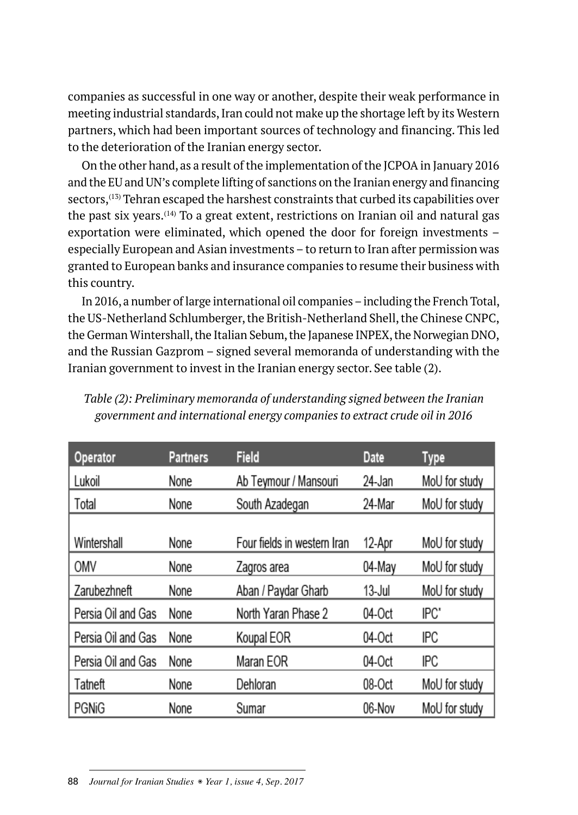companies as successful in one way or another, despite their weak performance in meeting industrial standards, Iran could not make up the shortage left by its Western partners, which had been important sources of technology and financing. This led to the deterioration of the Iranian energy sector.

On the other hand, as a result of the implementation of the JCPOA in January 2016 and the EU and UN's complete lifting of sanctions on the Iranian energy and financing sectors,(13) Tehran escaped the harshest constraints that curbed its capabilities over the past six years.(14) To a great extent, restrictions on Iranian oil and natural gas exportation were eliminated, which opened the door for foreign investments – especially European and Asian investments – to return to Iran after permission was granted to European banks and insurance companies to resume their business with this country.

In 2016, a number of large international oil companies – including the French Total, the US-Netherland Schlumberger, the British-Netherland Shell, the Chinese CNPC, the German Wintershall, the Italian Sebum, the Japanese INPEX, the Norwegian DNO, and the Russian Gazprom – signed several memoranda of understanding with the Iranian government to invest in the Iranian energy sector. See table (2).

| Operator           | <b>Partners</b> | <b>Field</b>                | <b>Date</b> | Type          |
|--------------------|-----------------|-----------------------------|-------------|---------------|
| Lukoil             | None            | Ab Teymour / Mansouri       | 24-Jan      | MoU for study |
| Total              | None            | South Azadegan              | 24-Mar      | MoU for study |
| Wintershall        | None            | Four fields in western Iran | 12-Apr      | MoU for study |
| OMV                | None            | Zagros area                 | 04-May      | MoU for study |
| Zarubezhneft       | None            | Aban / Paydar Gharb         | 13-Jul      | MoU for study |
| Persia Oil and Gas | None            | North Yaran Phase 2         | 04-Oct      | IPC'          |
| Persia Oil and Gas | None            | Koupal EOR                  | 04-Oct      | <b>IPC</b>    |
| Persia Oil and Gas | None            | Maran EOR                   | 04-Oct      | <b>IPC</b>    |
| Tatneft            | None            | Dehloran                    | 08-Oct      | MoU for study |
| <b>PGNiG</b>       | None            | Sumar                       | 06-Nov      | MoU for study |

*Table (2): Preliminary memoranda of understanding signed between the Iranian government and international energy companies to extract crude oil in 2016*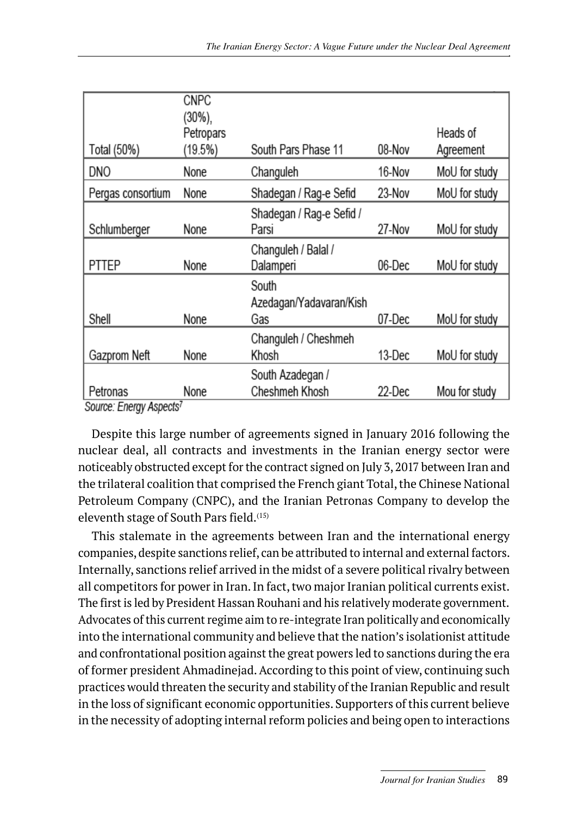| Total (50%)                                     | <b>CNPC</b><br>$(30\%)$<br>Petropars<br>$(19.5\%)$ | South Pars Phase 11                     | 08-Nov | Heads of<br>Agreement |
|-------------------------------------------------|----------------------------------------------------|-----------------------------------------|--------|-----------------------|
| <b>DNO</b>                                      | None                                               | Changuleh                               | 16-Nov | MoU for study         |
| Pergas consortium                               | None                                               | Shadegan / Rag-e Sefid                  | 23-Nov | MoU for study         |
| Schlumberger                                    | None                                               | Shadegan / Rag-e Sefid /<br>Parsi       | 27-Nov | MoU for study         |
| <b>PTTEP</b>                                    | None                                               | Changuleh / Balal /<br>Dalamperi        | 06-Dec | MoU for study         |
| Shell                                           | None                                               | South<br>Azedagan/Yadavaran/Kish<br>Gas | 07-Dec | MoU for study         |
| Gazprom Neft                                    | None                                               | Changuleh / Cheshmeh<br>Khosh           | 13-Dec | MoU for study         |
| Petronas<br>Source: Energy Aspects <sup>7</sup> | None                                               | South Azadegan /<br>Cheshmeh Khosh      | 22-Dec | Mou for study         |

Despite this large number of agreements signed in January 2016 following the nuclear deal, all contracts and investments in the Iranian energy sector were noticeably obstructed except for the contract signed on July 3, 2017 between Iran and the trilateral coalition that comprised the French giant Total, the Chinese National Petroleum Company (CNPC), and the Iranian Petronas Company to develop the eleventh stage of South Pars field.<sup>(15)</sup>

This stalemate in the agreements between Iran and the international energy companies, despite sanctions relief, can be attributed to internal and external factors. Internally, sanctions relief arrived in the midst of a severe political rivalry between all competitors for power in Iran. In fact, two major Iranian political currents exist. The first is led by President Hassan Rouhani and his relatively moderate government. Advocates of this current regime aim to re-integrate Iran politically and economically into the international community and believe that the nation's isolationist attitude and confrontational position against the great powers led to sanctions during the era of former president Ahmadinejad. According to this point of view, continuing such practices would threaten the security and stability of the Iranian Republic and result in the loss of significant economic opportunities. Supporters of this current believe in the necessity of adopting internal reform policies and being open to interactions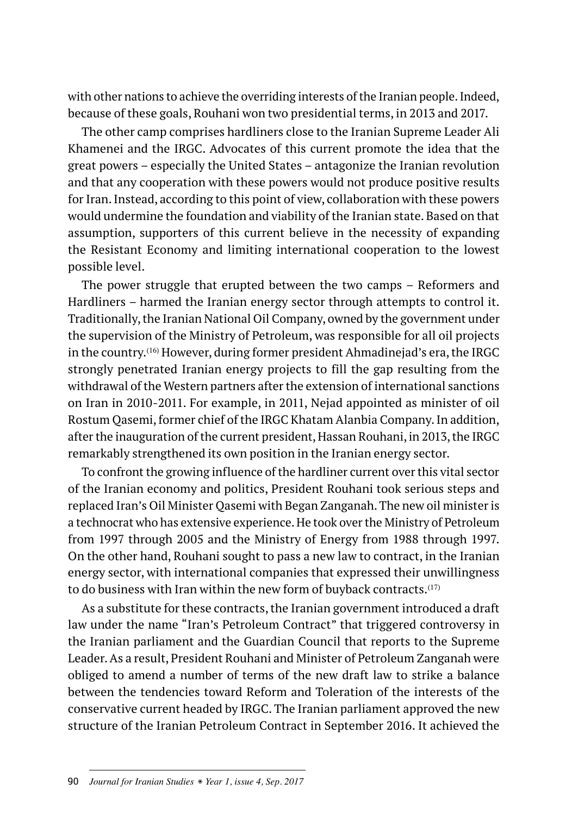with other nations to achieve the overriding interests of the Iranian people. Indeed, because of these goals, Rouhani won two presidential terms, in 2013 and 2017.

The other camp comprises hardliners close to the Iranian Supreme Leader Ali Khamenei and the IRGC. Advocates of this current promote the idea that the great powers – especially the United States – antagonize the Iranian revolution and that any cooperation with these powers would not produce positive results for Iran. Instead, according to this point of view, collaboration with these powers would undermine the foundation and viability of the Iranian state. Based on that assumption, supporters of this current believe in the necessity of expanding the Resistant Economy and limiting international cooperation to the lowest possible level.

The power struggle that erupted between the two camps – Reformers and Hardliners – harmed the Iranian energy sector through attempts to control it. Traditionally, the Iranian National Oil Company, owned by the government under the supervision of the Ministry of Petroleum, was responsible for all oil projects in the country.(16) However, during former president Ahmadinejad's era, the IRGC strongly penetrated Iranian energy projects to fill the gap resulting from the withdrawal of the Western partners after the extension of international sanctions on Iran in 2010-2011. For example, in 2011, Nejad appointed as minister of oil Rostum Qasemi, former chief of the IRGC Khatam Alanbia Company. In addition, after the inauguration of the current president, Hassan Rouhani, in 2013, the IRGC remarkably strengthened its own position in the Iranian energy sector.

To confront the growing influence of the hardliner current over this vital sector of the Iranian economy and politics, President Rouhani took serious steps and replaced Iran's Oil Minister Qasemi with Began Zanganah. The new oil minister is a technocrat who has extensive experience. He took over the Ministry of Petroleum from 1997 through 2005 and the Ministry of Energy from 1988 through 1997. On the other hand, Rouhani sought to pass a new law to contract, in the Iranian energy sector, with international companies that expressed their unwillingness to do business with Iran within the new form of buyback contracts.<sup>(17)</sup>

As a substitute for these contracts, the Iranian government introduced a draft law under the name "Iran's Petroleum Contract" that triggered controversy in the Iranian parliament and the Guardian Council that reports to the Supreme Leader. As a result, President Rouhani and Minister of Petroleum Zanganah were obliged to amend a number of terms of the new draft law to strike a balance between the tendencies toward Reform and Toleration of the interests of the conservative current headed by IRGC. The Iranian parliament approved the new structure of the Iranian Petroleum Contract in September 2016. It achieved the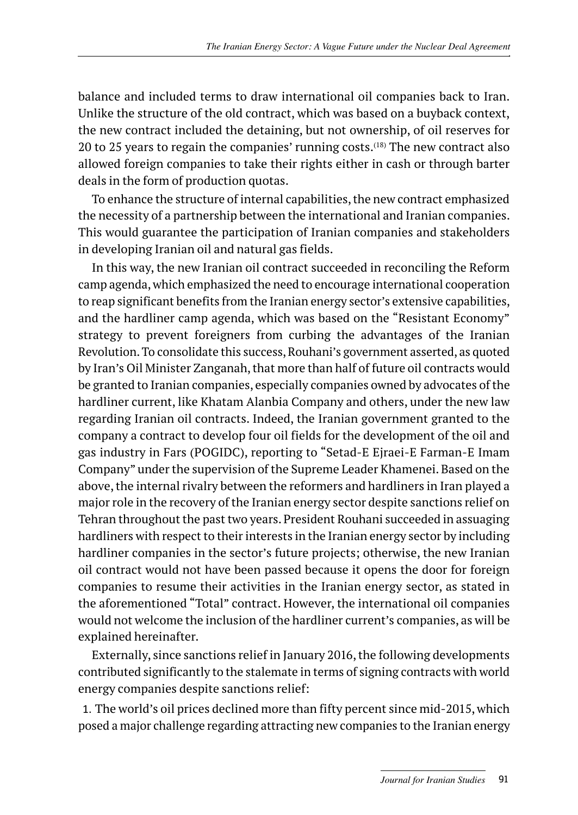balance and included terms to draw international oil companies back to Iran. Unlike the structure of the old contract, which was based on a buyback context, the new contract included the detaining, but not ownership, of oil reserves for 20 to 25 years to regain the companies' running costs.<sup>(18)</sup> The new contract also allowed foreign companies to take their rights either in cash or through barter deals in the form of production quotas.

To enhance the structure of internal capabilities, the new contract emphasized the necessity of a partnership between the international and Iranian companies. This would guarantee the participation of Iranian companies and stakeholders in developing Iranian oil and natural gas fields.

In this way, the new Iranian oil contract succeeded in reconciling the Reform camp agenda, which emphasized the need to encourage international cooperation to reap significant benefits from the Iranian energy sector's extensive capabilities, and the hardliner camp agenda, which was based on the "Resistant Economy" strategy to prevent foreigners from curbing the advantages of the Iranian Revolution. To consolidate this success, Rouhani's government asserted, as quoted by Iran's Oil Minister Zanganah, that more than half of future oil contracts would be granted to Iranian companies, especially companies owned by advocates of the hardliner current, like Khatam Alanbia Company and others, under the new law regarding Iranian oil contracts. Indeed, the Iranian government granted to the company a contract to develop four oil fields for the development of the oil and gas industry in Fars (POGIDC), reporting to "Setad-E Ejraei-E Farman-E Imam Company" under the supervision of the Supreme Leader Khamenei. Based on the above, the internal rivalry between the reformers and hardliners in Iran played a major role in the recovery of the Iranian energy sector despite sanctions relief on Tehran throughout the past two years. President Rouhani succeeded in assuaging hardliners with respect to their interests in the Iranian energy sector by including hardliner companies in the sector's future projects; otherwise, the new Iranian oil contract would not have been passed because it opens the door for foreign companies to resume their activities in the Iranian energy sector, as stated in the aforementioned "Total" contract. However, the international oil companies would not welcome the inclusion of the hardliner current's companies, as will be explained hereinafter.

Externally, since sanctions relief in January 2016, the following developments contributed significantly to the stalemate in terms of signing contracts with world energy companies despite sanctions relief:

1. The world's oil prices declined more than fifty percent since mid-2015, which posed a major challenge regarding attracting new companies to the Iranian energy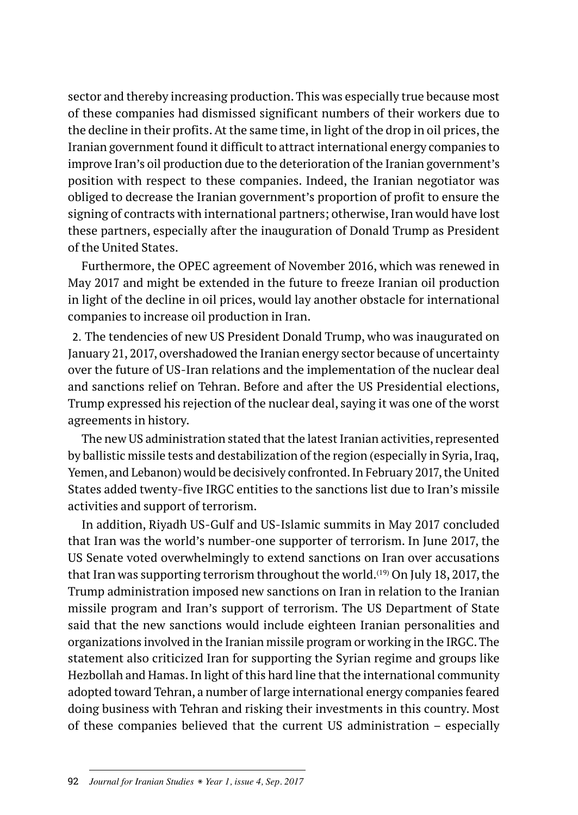sector and thereby increasing production. This was especially true because most of these companies had dismissed significant numbers of their workers due to the decline in their profits. At the same time, in light of the drop in oil prices, the Iranian government found it difficult to attract international energy companies to improve Iran's oil production due to the deterioration of the Iranian government's position with respect to these companies. Indeed, the Iranian negotiator was obliged to decrease the Iranian government's proportion of profit to ensure the signing of contracts with international partners; otherwise, Iran would have lost these partners, especially after the inauguration of Donald Trump as President of the United States.

Furthermore, the OPEC agreement of November 2016, which was renewed in May 2017 and might be extended in the future to freeze Iranian oil production in light of the decline in oil prices, would lay another obstacle for international companies to increase oil production in Iran.

2. The tendencies of new US President Donald Trump, who was inaugurated on January 21, 2017, overshadowed the Iranian energy sector because of uncertainty over the future of US-Iran relations and the implementation of the nuclear deal and sanctions relief on Tehran. Before and after the US Presidential elections, Trump expressed his rejection of the nuclear deal, saying it was one of the worst agreements in history.

The new US administration stated that the latest Iranian activities, represented by ballistic missile tests and destabilization of the region (especially in Syria, Iraq, Yemen, and Lebanon) would be decisively confronted. In February 2017, the United States added twenty-five IRGC entities to the sanctions list due to Iran's missile activities and support of terrorism.

In addition, Riyadh US-Gulf and US-Islamic summits in May 2017 concluded that Iran was the world's number-one supporter of terrorism. In June 2017, the US Senate voted overwhelmingly to extend sanctions on Iran over accusations that Iran was supporting terrorism throughout the world.<sup>(19)</sup> On July 18, 2017, the Trump administration imposed new sanctions on Iran in relation to the Iranian missile program and Iran's support of terrorism. The US Department of State said that the new sanctions would include eighteen Iranian personalities and organizations involved in the Iranian missile program or working in the IRGC. The statement also criticized Iran for supporting the Syrian regime and groups like Hezbollah and Hamas. In light of this hard line that the international community adopted toward Tehran, a number of large international energy companies feared doing business with Tehran and risking their investments in this country. Most of these companies believed that the current US administration – especially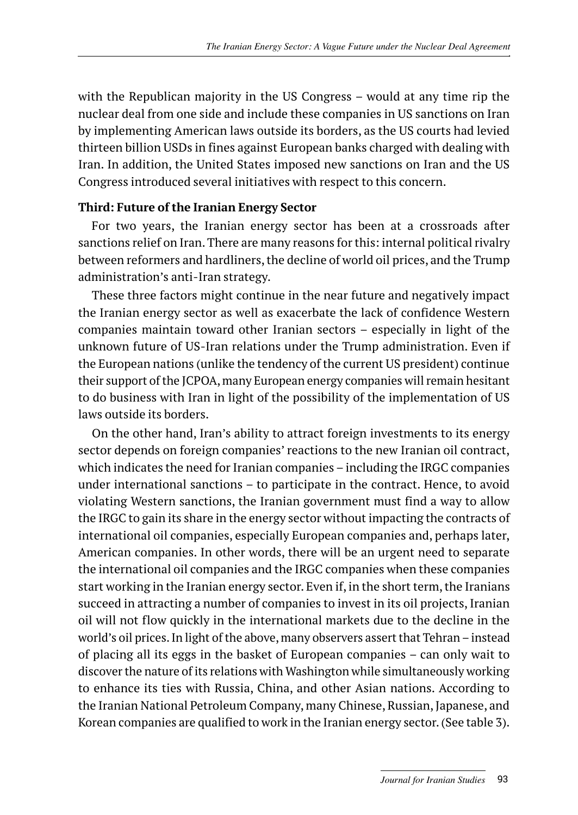with the Republican majority in the US Congress – would at any time rip the nuclear deal from one side and include these companies in US sanctions on Iran by implementing American laws outside its borders, as the US courts had levied thirteen billion USDs in fines against European banks charged with dealing with Iran. In addition, the United States imposed new sanctions on Iran and the US Congress introduced several initiatives with respect to this concern.

#### **Third: Future of the Iranian Energy Sector**

For two years, the Iranian energy sector has been at a crossroads after sanctions relief on Iran. There are many reasons for this: internal political rivalry between reformers and hardliners, the decline of world oil prices, and the Trump administration's anti-Iran strategy.

These three factors might continue in the near future and negatively impact the Iranian energy sector as well as exacerbate the lack of confidence Western companies maintain toward other Iranian sectors – especially in light of the unknown future of US-Iran relations under the Trump administration. Even if the European nations (unlike the tendency of the current US president) continue their support of the JCPOA, many European energy companies will remain hesitant to do business with Iran in light of the possibility of the implementation of US laws outside its borders.

On the other hand, Iran's ability to attract foreign investments to its energy sector depends on foreign companies' reactions to the new Iranian oil contract, which indicates the need for Iranian companies – including the IRGC companies under international sanctions – to participate in the contract. Hence, to avoid violating Western sanctions, the Iranian government must find a way to allow the IRGC to gain its share in the energy sector without impacting the contracts of international oil companies, especially European companies and, perhaps later, American companies. In other words, there will be an urgent need to separate the international oil companies and the IRGC companies when these companies start working in the Iranian energy sector. Even if, in the short term, the Iranians succeed in attracting a number of companies to invest in its oil projects, Iranian oil will not flow quickly in the international markets due to the decline in the world's oil prices. In light of the above, many observers assert that Tehran – instead of placing all its eggs in the basket of European companies – can only wait to discover the nature of its relations with Washington while simultaneously working to enhance its ties with Russia, China, and other Asian nations. According to the Iranian National Petroleum Company, many Chinese, Russian, Japanese, and Korean companies are qualified to work in the Iranian energy sector. (See table 3).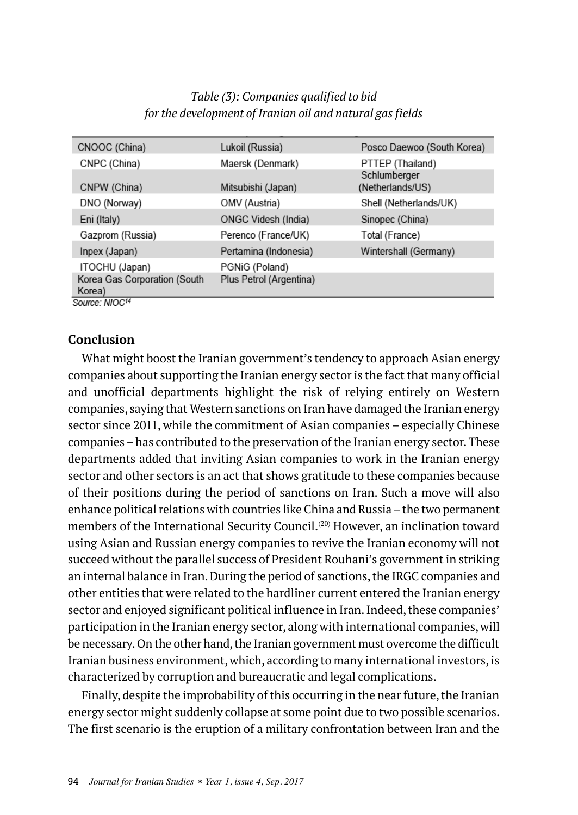| Table (3): Companies qualified to bid                     |  |
|-----------------------------------------------------------|--|
| for the development of Iranian oil and natural gas fields |  |

| CNOOC (China)                          | Lukoil (Russia)            | Posco Daewoo (South Korea)       |
|----------------------------------------|----------------------------|----------------------------------|
| CNPC (China)                           | Maersk (Denmark)           | PTTEP (Thailand)                 |
| CNPW (China)                           | Mitsubishi (Japan)         | Schlumberger<br>(Netherlands/US) |
| DNO (Norway)                           | OMV (Austria)              | Shell (Netherlands/UK)           |
| Eni (Italy)                            | <b>ONGC Videsh (India)</b> | Sinopec (China)                  |
| Gazprom (Russia)                       | Perenco (France/UK)        | Total (France)                   |
| Inpex (Japan)                          | Pertamina (Indonesia)      | Wintershall (Germany)            |
| ITOCHU (Japan)                         | PGNiG (Poland)             |                                  |
| Korea Gas Corporation (South<br>Korea) | Plus Petrol (Argentina)    |                                  |
| Source: NIOC <sup>14</sup>             |                            |                                  |

#### **Conclusion**

What might boost the Iranian government's tendency to approach Asian energy companies about supporting the Iranian energy sector is the fact that many official and unofficial departments highlight the risk of relying entirely on Western companies, saying that Western sanctions on Iran have damaged the Iranian energy sector since 2011, while the commitment of Asian companies – especially Chinese companies – has contributed to the preservation of the Iranian energy sector. These departments added that inviting Asian companies to work in the Iranian energy sector and other sectors is an act that shows gratitude to these companies because of their positions during the period of sanctions on Iran. Such a move will also enhance political relations with countries like China and Russia – the two permanent members of the International Security Council.<sup>(20)</sup> However, an inclination toward using Asian and Russian energy companies to revive the Iranian economy will not succeed without the parallel success of President Rouhani's government in striking an internal balance in Iran. During the period of sanctions, the IRGC companies and other entities that were related to the hardliner current entered the Iranian energy sector and enjoyed significant political influence in Iran. Indeed, these companies' participation in the Iranian energy sector, along with international companies, will be necessary. On the other hand, the Iranian government must overcome the difficult Iranian business environment, which, according to many international investors, is characterized by corruption and bureaucratic and legal complications.

Finally, despite the improbability of this occurring in the near future, the Iranian energy sector might suddenly collapse at some point due to two possible scenarios. The first scenario is the eruption of a military confrontation between Iran and the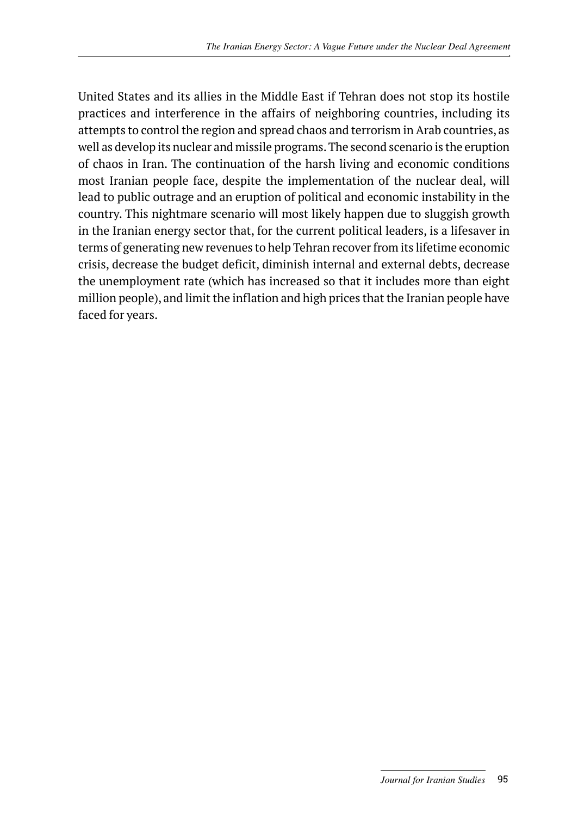United States and its allies in the Middle East if Tehran does not stop its hostile practices and interference in the affairs of neighboring countries, including its attempts to control the region and spread chaos and terrorism in Arab countries, as well as develop its nuclear and missile programs. The second scenario is the eruption of chaos in Iran. The continuation of the harsh living and economic conditions most Iranian people face, despite the implementation of the nuclear deal, will lead to public outrage and an eruption of political and economic instability in the country. This nightmare scenario will most likely happen due to sluggish growth in the Iranian energy sector that, for the current political leaders, is a lifesaver in terms of generating new revenues to help Tehran recover from its lifetime economic crisis, decrease the budget deficit, diminish internal and external debts, decrease the unemployment rate (which has increased so that it includes more than eight million people), and limit the inflation and high prices that the Iranian people have faced for years.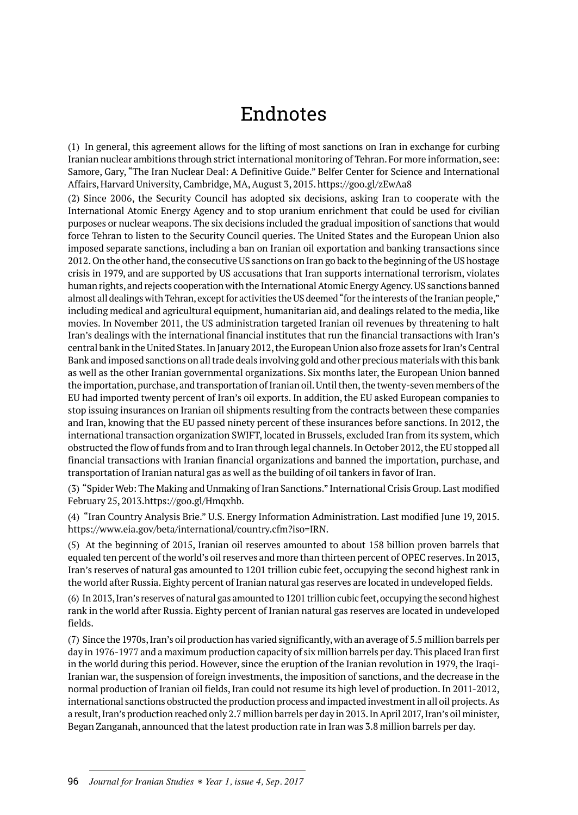### Endnotes

(1) In general, this agreement allows for the lifting of most sanctions on Iran in exchange for curbing Iranian nuclear ambitions through strict international monitoring of Tehran. For more information, see: Samore, Gary, "The Iran Nuclear Deal: A Definitive Guide." Belfer Center for Science and International Affairs, Harvard University, Cambridge, MA, August 3, 2015. https://goo.gl/zEwAa8

(2) Since 2006, the Security Council has adopted six decisions, asking Iran to cooperate with the International Atomic Energy Agency and to stop uranium enrichment that could be used for civilian purposes or nuclear weapons. The six decisions included the gradual imposition of sanctions that would force Tehran to listen to the Security Council queries. The United States and the European Union also imposed separate sanctions, including a ban on Iranian oil exportation and banking transactions since 2012. On the other hand, the consecutive US sanctions on Iran go back to the beginning of the US hostage crisis in 1979, and are supported by US accusations that Iran supports international terrorism, violates human rights, and rejects cooperation with the International Atomic Energy Agency. US sanctions banned almost all dealings with Tehran, except for activities the US deemed "for the interests of the Iranian people," including medical and agricultural equipment, humanitarian aid, and dealings related to the media, like movies. In November 2011, the US administration targeted Iranian oil revenues by threatening to halt Iran's dealings with the international financial institutes that run the financial transactions with Iran's central bank in the United States. In January 2012, the European Union also froze assets for Iran's Central Bank and imposed sanctions on all trade deals involving gold and other precious materials with this bank as well as the other Iranian governmental organizations. Six months later, the European Union banned the importation, purchase, and transportation of Iranian oil. Until then, the twenty-seven members of the EU had imported twenty percent of Iran's oil exports. In addition, the EU asked European companies to stop issuing insurances on Iranian oil shipments resulting from the contracts between these companies and Iran, knowing that the EU passed ninety percent of these insurances before sanctions. In 2012, the international transaction organization SWIFT, located in Brussels, excluded Iran from its system, which obstructed the flow of funds from and to Iran through legal channels. In October 2012, the EU stopped all financial transactions with Iranian financial organizations and banned the importation, purchase, and transportation of Iranian natural gas as well as the building of oil tankers in favor of Iran.

(3) "Spider Web: The Making and Unmaking of Iran Sanctions." International Crisis Group. Last modified February 25, 2013.https://goo.gl/Hmqxhb.

(4) "Iran Country Analysis Brie." U.S. Energy Information Administration. Last modified June 19, 2015. https://www.eia.gov/beta/international/country.cfm?iso=IRN.

(5) At the beginning of 2015, Iranian oil reserves amounted to about 158 billion proven barrels that equaled ten percent of the world's oil reserves and more than thirteen percent of OPEC reserves. In 2013, Iran's reserves of natural gas amounted to 1201 trillion cubic feet, occupying the second highest rank in the world after Russia. Eighty percent of Iranian natural gas reserves are located in undeveloped fields.

(6) In 2013, Iran's reserves of natural gas amounted to 1201 trillion cubic feet, occupying the second highest rank in the world after Russia. Eighty percent of Iranian natural gas reserves are located in undeveloped fields.

(7) Since the 1970s, Iran's oil production has varied significantly, with an average of 5.5 million barrels per day in 1976-1977 and a maximum production capacity of six million barrels per day. This placed Iran first in the world during this period. However, since the eruption of the Iranian revolution in 1979, the Iraqi-Iranian war, the suspension of foreign investments, the imposition of sanctions, and the decrease in the normal production of Iranian oil fields, Iran could not resume its high level of production. In 2011-2012, international sanctions obstructed the production process and impacted investment in all oil projects. As a result, Iran's production reached only 2.7 million barrels per day in 2013. In April 2017, Iran's oil minister, Began Zanganah, announced that the latest production rate in Iran was 3.8 million barrels per day.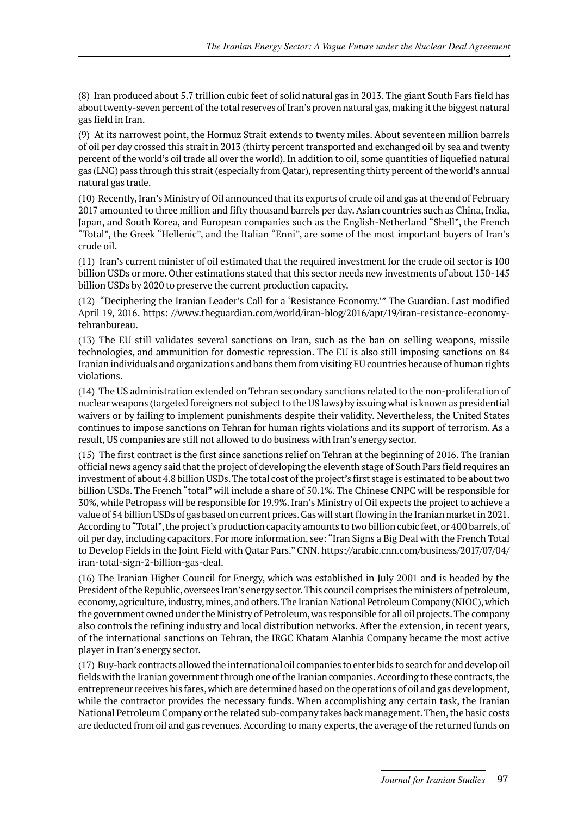(8) Iran produced about 5.7 trillion cubic feet of solid natural gas in 2013. The giant South Fars field has about twenty-seven percent of the total reserves of Iran's proven natural gas, making it the biggest natural gas field in Iran.

(9) At its narrowest point, the Hormuz Strait extends to twenty miles. About seventeen million barrels of oil per day crossed this strait in 2013 (thirty percent transported and exchanged oil by sea and twenty percent of the world's oil trade all over the world). In addition to oil, some quantities of liquefied natural gas (LNG) pass through this strait (especially from Qatar), representing thirty percent of the world's annual natural gas trade.

(10) Recently, Iran's Ministry of Oil announced that its exports of crude oil and gas at the end of February 2017 amounted to three million and fifty thousand barrels per day. Asian countries such as China, India, Japan, and South Korea, and European companies such as the English-Netherland "Shell", the French "Total", the Greek "Hellenic", and the Italian "Enni", are some of the most important buyers of Iran's crude oil.

(11) Iran's current minister of oil estimated that the required investment for the crude oil sector is 100 billion USDs or more. Other estimations stated that this sector needs new investments of about 130-145 billion USDs by 2020 to preserve the current production capacity.

(12) "Deciphering the Iranian Leader's Call for a 'Resistance Economy.'" The Guardian. Last modified April 19, 2016. https: //www.theguardian.com/world/iran-blog/2016/apr/19/iran-resistance-economytehranbureau.

(13) The EU still validates several sanctions on Iran, such as the ban on selling weapons, missile technologies, and ammunition for domestic repression. The EU is also still imposing sanctions on 84 Iranian individuals and organizations and bans them from visiting EU countries because of human rights violations.

(14) The US administration extended on Tehran secondary sanctions related to the non-proliferation of nuclear weapons (targeted foreigners not subject to the US laws) by issuing what is known as presidential waivers or by failing to implement punishments despite their validity. Nevertheless, the United States continues to impose sanctions on Tehran for human rights violations and its support of terrorism. As a result, US companies are still not allowed to do business with Iran's energy sector.

(15) The first contract is the first since sanctions relief on Tehran at the beginning of 2016. The Iranian official news agency said that the project of developing the eleventh stage of South Pars field requires an investment of about 4.8 billion USDs. The total cost of the project's first stage is estimated to be about two billion USDs. The French "total" will include a share of 50.1%. The Chinese CNPC will be responsible for 30%, while Petropass will be responsible for 19.9%. Iran's Ministry of Oil expects the project to achieve a value of 54 billion USDs of gas based on current prices. Gas will start flowing in the Iranian market in 2021. According to "Total", the project's production capacity amounts to two billion cubic feet, or 400 barrels, of oil per day, including capacitors. For more information, see: "Iran Signs a Big Deal with the French Total to Develop Fields in the Joint Field with Qatar Pars." CNN. https://arabic.cnn.com/business/2017/07/04/ iran-total-sign-2-billion-gas-deal.

(16) The Iranian Higher Council for Energy, which was established in July 2001 and is headed by the President of the Republic, oversees Iran's energy sector. This council comprises the ministers of petroleum, economy, agriculture, industry, mines, and others. The Iranian National Petroleum Company (NIOC), which the government owned under the Ministry of Petroleum, was responsible for all oil projects. The company also controls the refining industry and local distribution networks. After the extension, in recent years, of the international sanctions on Tehran, the IRGC Khatam Alanbia Company became the most active player in Iran's energy sector.

(17) Buy-back contracts allowed the international oil companies to enter bids to search for and develop oil fields with the Iranian government through one of the Iranian companies. According to these contracts, the entrepreneur receives his fares, which are determined based on the operations of oil and gas development, while the contractor provides the necessary funds. When accomplishing any certain task, the Iranian National Petroleum Company or the related sub-company takes back management. Then, the basic costs are deducted from oil and gas revenues. According to many experts, the average of the returned funds on